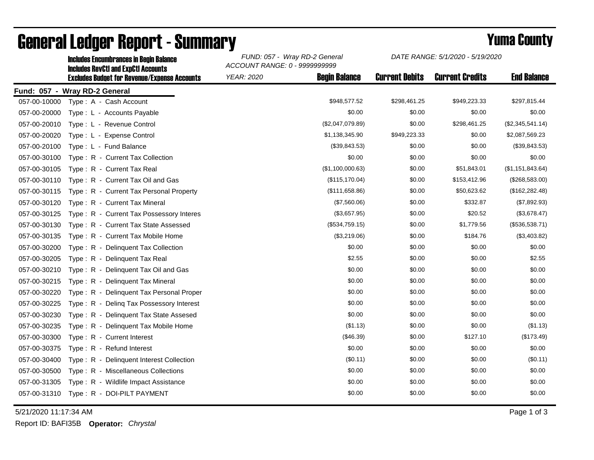|                               | <b>Includes RevCtI and ExpCtI Accounts</b>          | ACCOUNT RANGE: 0 - 9999999999             |                       |                        |                    |  |  |  |  |  |
|-------------------------------|-----------------------------------------------------|-------------------------------------------|-----------------------|------------------------|--------------------|--|--|--|--|--|
|                               | <b>Excludes Budget for Revenue/Expense Accounts</b> | <b>Begin Balance</b><br><b>YEAR: 2020</b> | <b>Current Debits</b> | <b>Current Credits</b> | <b>End Balance</b> |  |  |  |  |  |
| Fund: 057 - Wray RD-2 General |                                                     |                                           |                       |                        |                    |  |  |  |  |  |
| 057-00-10000                  | Type: A - Cash Account                              | \$948,577.52                              | \$298,461.25          | \$949,223.33           | \$297,815.44       |  |  |  |  |  |
| 057-00-20000                  | Type: L - Accounts Payable                          | \$0.00                                    | \$0.00                | \$0.00                 | \$0.00             |  |  |  |  |  |
| 057-00-20010                  | Type: L - Revenue Control                           | (\$2,047,079.89)                          | \$0.00                | \$298,461.25           | (\$2,345,541.14)   |  |  |  |  |  |
| 057-00-20020                  | Type: L - Expense Control                           | \$1,138,345.90                            | \$949,223.33          | \$0.00                 | \$2,087,569.23     |  |  |  |  |  |
| 057-00-20100                  | Type: L - Fund Balance                              | (\$39,843.53)                             | \$0.00                | \$0.00                 | (\$39,843.53)      |  |  |  |  |  |
| 057-00-30100                  | Type: R - Current Tax Collection                    | \$0.00                                    | \$0.00                | \$0.00                 | \$0.00             |  |  |  |  |  |
| 057-00-30105                  | Type: R - Current Tax Real                          | (\$1,100,000.63)                          | \$0.00                | \$51,843.01            | (\$1,151,843.64)   |  |  |  |  |  |
| 057-00-30110                  | Type: R - Current Tax Oil and Gas                   | (\$115, 170.04)                           | \$0.00                | \$153,412.96           | (\$268,583.00)     |  |  |  |  |  |
| 057-00-30115                  | Type: R - Current Tax Personal Property             | (\$111,658.86)                            | \$0.00                | \$50,623.62            | (\$162, 282.48)    |  |  |  |  |  |
| 057-00-30120                  | Type: R - Current Tax Mineral                       | (\$7,560.06)                              | \$0.00                | \$332.87               | (\$7,892.93)       |  |  |  |  |  |
| 057-00-30125                  | Type: R - Current Tax Possessory Interes            | (\$3,657.95)                              | \$0.00                | \$20.52                | (\$3,678.47)       |  |  |  |  |  |
| 057-00-30130                  | Type: R - Current Tax State Assessed                | (\$534,759.15)                            | \$0.00                | \$1,779.56             | (\$536,538.71)     |  |  |  |  |  |
| 057-00-30135                  | Type: R - Current Tax Mobile Home                   | (\$3,219.06)                              | \$0.00                | \$184.76               | (\$3,403.82)       |  |  |  |  |  |
| 057-00-30200                  | Type: R - Delinquent Tax Collection                 | \$0.00                                    | \$0.00                | \$0.00                 | \$0.00             |  |  |  |  |  |
| 057-00-30205                  | Type: R - Delinquent Tax Real                       | \$2.55                                    | \$0.00                | \$0.00                 | \$2.55             |  |  |  |  |  |
| 057-00-30210                  | Type: R - Delinquent Tax Oil and Gas                | \$0.00                                    | \$0.00                | \$0.00                 | \$0.00             |  |  |  |  |  |
| 057-00-30215                  | Type: R - Delinquent Tax Mineral                    | \$0.00                                    | \$0.00                | \$0.00                 | \$0.00             |  |  |  |  |  |
| 057-00-30220                  | Type: R - Delinquent Tax Personal Proper            | \$0.00                                    | \$0.00                | \$0.00                 | \$0.00             |  |  |  |  |  |
| 057-00-30225                  | Type: R - Deling Tax Possessory Interest            | \$0.00                                    | \$0.00                | \$0.00                 | \$0.00             |  |  |  |  |  |
| 057-00-30230                  | Type: R - Delinquent Tax State Assesed              | \$0.00                                    | \$0.00                | \$0.00                 | \$0.00             |  |  |  |  |  |
| 057-00-30235                  | Type: R - Delinquent Tax Mobile Home                | (\$1.13)                                  | \$0.00                | \$0.00                 | (\$1.13)           |  |  |  |  |  |
| 057-00-30300                  | Type: R - Current Interest                          | (\$46.39)                                 | \$0.00                | \$127.10               | (\$173.49)         |  |  |  |  |  |
| 057-00-30375                  | Type: R - Refund Interest                           | \$0.00                                    | \$0.00                | \$0.00                 | \$0.00             |  |  |  |  |  |
| 057-00-30400                  | Type: R - Delinquent Interest Collection            | (\$0.11)                                  | \$0.00                | \$0.00                 | (\$0.11)           |  |  |  |  |  |
| 057-00-30500                  | Type: R - Miscellaneous Collections                 | \$0.00                                    | \$0.00                | \$0.00                 | \$0.00             |  |  |  |  |  |
| 057-00-31305                  | Type: R - Wildlife Impact Assistance                | \$0.00                                    | \$0.00                | \$0.00                 | \$0.00             |  |  |  |  |  |
| 057-00-31310                  | Type: R - DOI-PILT PAYMENT                          | \$0.00                                    | \$0.00                | \$0.00                 | \$0.00             |  |  |  |  |  |
|                               |                                                     |                                           |                       |                        |                    |  |  |  |  |  |

## General Ledger Report - Summary<br>
FUND: 057 - Wray RD-2 General DATE RANGE: 5/1/2020 - 5/19/2020

Includes Encumbrances in Begin Balance *FUND: 057 - Wray RD-2 General*

5/21/2020 11:17:34 AM Page 1 of 3

Report ID: BAFI35B **Operator:** *Chrystal*

*DATE RANGE: 5/1/2020 - 5/19/2020*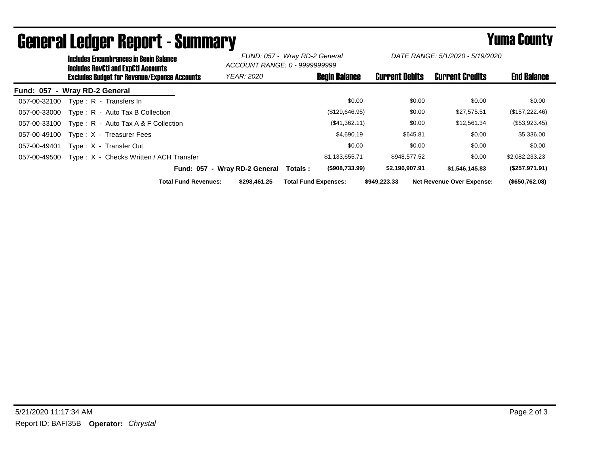|                               | <b>Includes Encumbrances in Begin Balance</b><br><b>Includes RevCtI and ExpCtI Accounts</b><br><b>Excludes Budget for Revenue/Expense Accounts</b> |                                         |                             | FUND: 057 - Wray RD-2 General<br>ACCOUNT RANGE: 0 - 9999999999 |                             | DATE RANGE: 5/1/2020 - 5/19/2020 |                       |                                  |                    |
|-------------------------------|----------------------------------------------------------------------------------------------------------------------------------------------------|-----------------------------------------|-----------------------------|----------------------------------------------------------------|-----------------------------|----------------------------------|-----------------------|----------------------------------|--------------------|
|                               |                                                                                                                                                    |                                         |                             | <b>YEAR: 2020</b>                                              |                             | <b>Begin Balance</b>             | <b>Current Debits</b> | <b>Current Credits</b>           | <b>End Balance</b> |
| Fund: 057 - Wray RD-2 General |                                                                                                                                                    |                                         |                             |                                                                |                             |                                  |                       |                                  |                    |
| 057-00-32100                  |                                                                                                                                                    | Type: R - Transfers In                  |                             |                                                                |                             | \$0.00                           | \$0.00                | \$0.00                           | \$0.00             |
| 057-00-33000                  |                                                                                                                                                    | Type: R - Auto Tax B Collection         |                             |                                                                |                             | (\$129,646.95)                   | \$0.00                | \$27,575.51                      | (\$157,222.46)     |
| 057-00-33100                  |                                                                                                                                                    | Type: $R -$ Auto Tax A & F Collection   |                             |                                                                |                             | (\$41,362.11)                    | \$0.00                | \$12,561.34                      | $(\$53,923.45)$    |
| 057-00-49100                  |                                                                                                                                                    | Type: X - Treasurer Fees                |                             |                                                                |                             | \$4,690.19                       | \$645.81              | \$0.00                           | \$5,336.00         |
| 057-00-49401                  |                                                                                                                                                    | Type: X - Transfer Out                  |                             |                                                                |                             | \$0.00                           | \$0.00                | \$0.00                           | \$0.00             |
| 057-00-49500                  |                                                                                                                                                    | Type: X - Checks Written / ACH Transfer |                             |                                                                |                             | \$1,133,655.71                   | \$948,577.52          | \$0.00                           | \$2,082,233.23     |
|                               |                                                                                                                                                    |                                         |                             | Fund: 057 - Wray RD-2 General                                  | Totals :                    | $($ \$908,733.99)                | \$2,196,907.91        | \$1,546,145.83                   | (\$257,971.91)     |
|                               |                                                                                                                                                    |                                         | <b>Total Fund Revenues:</b> | \$298,461.25                                                   | <b>Total Fund Expenses:</b> |                                  | \$949,223.33          | <b>Net Revenue Over Expense:</b> | $($ \$650,762.08)  |

## General Ledger Report - Summary **Seneral Ledger Report - Summary**